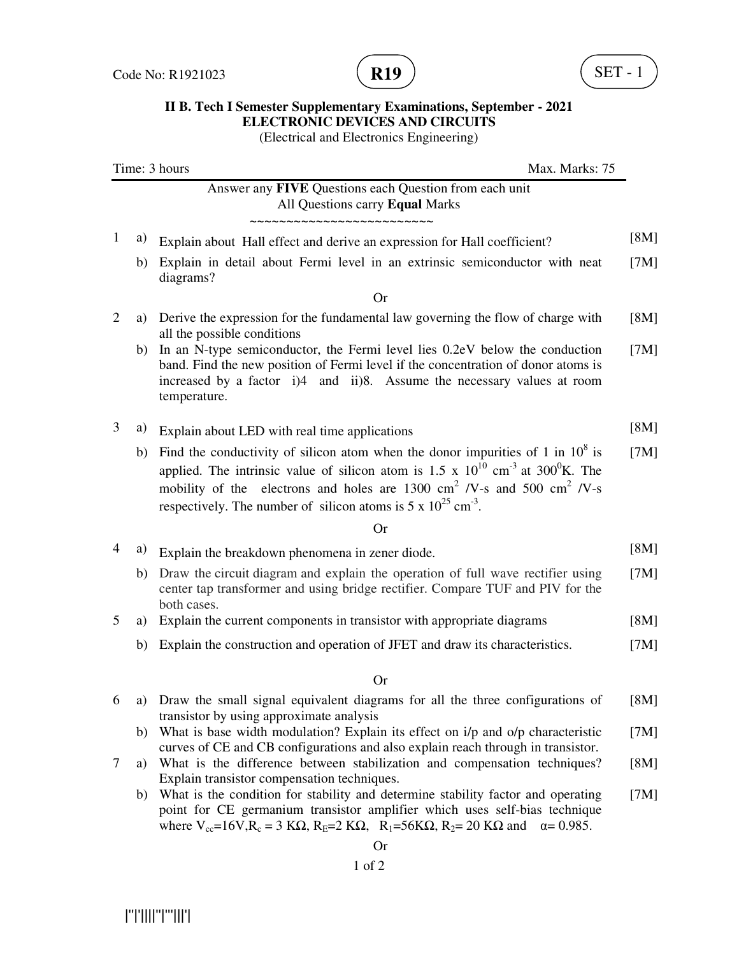

## **II B. Tech I Semester Supplementary Examinations, September - 2021 ELECTRONIC DEVICES AND CIRCUITS**

(Electrical and Electronics Engineering)

| Time: 3 hours<br>Max. Marks: 75 |    |                                                                                                                                                                                                                                                                                                                                                                                      |      |
|---------------------------------|----|--------------------------------------------------------------------------------------------------------------------------------------------------------------------------------------------------------------------------------------------------------------------------------------------------------------------------------------------------------------------------------------|------|
|                                 |    | Answer any FIVE Questions each Question from each unit<br>All Questions carry Equal Marks<br>~~~~~~~~~~~~~~~~~~~~~~~~~                                                                                                                                                                                                                                                               |      |
| 1                               | a) | Explain about Hall effect and derive an expression for Hall coefficient?                                                                                                                                                                                                                                                                                                             | [8M] |
|                                 | b) | Explain in detail about Fermi level in an extrinsic semiconductor with neat<br>diagrams?                                                                                                                                                                                                                                                                                             | [7M] |
|                                 |    | <b>Or</b>                                                                                                                                                                                                                                                                                                                                                                            |      |
| $\overline{2}$                  | a) | Derive the expression for the fundamental law governing the flow of charge with<br>all the possible conditions                                                                                                                                                                                                                                                                       | [8M] |
|                                 | b) | In an N-type semiconductor, the Fermi level lies 0.2eV below the conduction<br>band. Find the new position of Fermi level if the concentration of donor atoms is<br>increased by a factor i)4 and ii)8. Assume the necessary values at room<br>temperature.                                                                                                                          | [7M] |
| 3                               | a) | Explain about LED with real time applications                                                                                                                                                                                                                                                                                                                                        | [8M] |
|                                 | b) | Find the conductivity of silicon atom when the donor impurities of 1 in $10^8$ is<br>applied. The intrinsic value of silicon atom is $1.5 \times 10^{10}$ cm <sup>-3</sup> at $300^0$ K. The<br>mobility of the electrons and holes are 1300 cm <sup>2</sup> /V-s and 500 cm <sup>2</sup> /V-s<br>respectively. The number of silicon atoms is $5 \times 10^{25}$ cm <sup>-3</sup> . | [7M] |
|                                 |    | <b>Or</b>                                                                                                                                                                                                                                                                                                                                                                            |      |
| 4                               | a) | Explain the breakdown phenomena in zener diode.                                                                                                                                                                                                                                                                                                                                      | [8M] |
|                                 | b) | Draw the circuit diagram and explain the operation of full wave rectifier using<br>center tap transformer and using bridge rectifier. Compare TUF and PIV for the<br>both cases.                                                                                                                                                                                                     | [7M] |
| 5                               | a) | Explain the current components in transistor with appropriate diagrams                                                                                                                                                                                                                                                                                                               | [8M] |
|                                 | b) | Explain the construction and operation of JFET and draw its characteristics.                                                                                                                                                                                                                                                                                                         | [7M] |
|                                 |    | <b>Or</b>                                                                                                                                                                                                                                                                                                                                                                            |      |
| 6                               | a) | Draw the small signal equivalent diagrams for all the three configurations of                                                                                                                                                                                                                                                                                                        | [8M] |
|                                 | b) | transistor by using approximate analysis<br>What is base width modulation? Explain its effect on i/p and o/p characteristic<br>curves of CE and CB configurations and also explain reach through in transistor.                                                                                                                                                                      | [7M] |
| 7                               | a) | What is the difference between stabilization and compensation techniques?<br>Explain transistor compensation techniques.                                                                                                                                                                                                                                                             | [8M] |
|                                 | b) | What is the condition for stability and determine stability factor and operating<br>point for CE germanium transistor amplifier which uses self-bias technique<br>where $V_{cc} = 16V$ , $R_c = 3 K\Omega$ , $R_E = 2 K\Omega$ , $R_1 = 56 K\Omega$ , $R_2 = 20 K\Omega$ and $\alpha = 0.985$ .                                                                                      | [7M] |